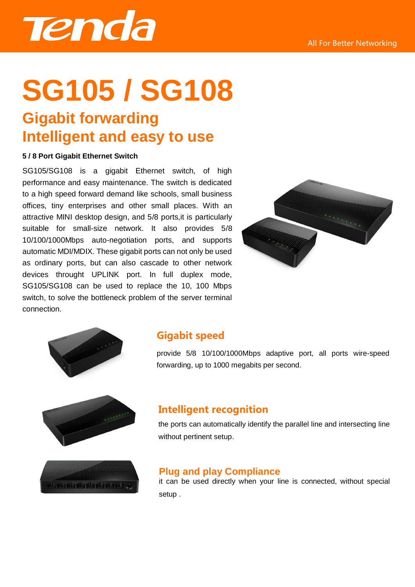

# **SG105 / SG108**

# **Gigabit forwarding Intelligent and easy to use**

#### **5 / 8 Port Gigabit Ethernet Switch**

SG105/SG108 is a gigabit Ethernet switch, of high performance and easy maintenance. The switch is dedicated to a high speed forward demand like schools, small business offices, tiny enterprises and other small places. With an attractive MINI desktop design, and 5/8 ports,it is particularly suitable for small-size network. It also provides 5/8 10/100/1000Mbps auto-negotiation ports, and supports automatic MDI/MDIX. These gigabit ports can not only be used as ordinary ports, but can also cascade to other network devices throught UPLINK port. In full duplex mode, SG105/SG108 can be used to replace the 10, 100 Mbps switch, to solve the bottleneck problem of the server terminal connection.





### **Gigabit speed**

provide 5/8 10/100/1000Mbps adaptive port, all ports wire-speed forwarding, up to 1000 megabits per second.





## **Intelligent recognition**

the ports can automatically identify the parallel line and intersecting line without pertinent setup.

#### **Plug and play Compliance**

it can be used directly when your line is connected, without special setup .